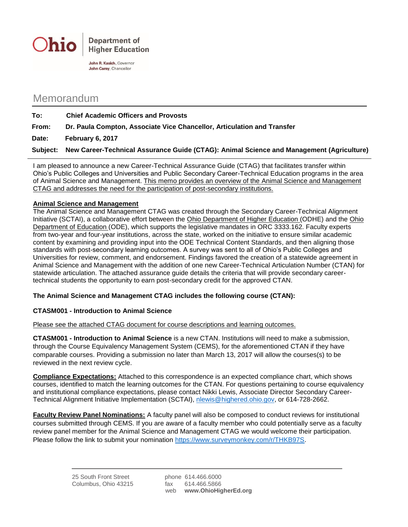

Memorandum

| To:   | <b>Chief Academic Officers and Provosts</b>                                                       |
|-------|---------------------------------------------------------------------------------------------------|
| From: | Dr. Paula Compton, Associate Vice Chancellor, Articulation and Transfer                           |
| Date: | February 6, 2017                                                                                  |
|       | Subject: New Career-Technical Assurance Guide (CTAG): Animal Science and Management (Agriculture) |

I am pleased to announce a new Career-Technical Assurance Guide (CTAG) that facilitates transfer within Ohio's Public Colleges and Universities and Public Secondary Career-Technical Education programs in the area of Animal Science and Management. This memo provides an overview of the Animal Science and Management CTAG and addresses the need for the participation of post-secondary institutions.

## **Animal Science and Management**

The Animal Science and Management CTAG was created through the Secondary Career-Technical Alignment Initiative (SCTAI), a collaborative effort between the Ohio Department of Higher Education (ODHE) and the Ohio Department of Education (ODE), which supports the legislative mandates in ORC 3333.162. Faculty experts from two-year and four-year institutions, across the state, worked on the initiative to ensure similar academic content by examining and providing input into the ODE Technical Content Standards, and then aligning those standards with post-secondary learning outcomes. A survey was sent to all of Ohio's Public Colleges and Universities for review, comment, and endorsement. Findings favored the creation of a statewide agreement in Animal Science and Management with the addition of one new Career-Technical Articulation Number (CTAN) for statewide articulation. The attached assurance guide details the criteria that will provide secondary careertechnical students the opportunity to earn post-secondary credit for the approved CTAN.

## **The Animal Science and Management CTAG includes the following course (CTAN):**

## **CTASM001 - Introduction to Animal Science**

Please see the attached CTAG document for course descriptions and learning outcomes.

**CTASM001 - Introduction to Animal Science** is a new CTAN. Institutions will need to make a submission, through the Course Equivalency Management System (CEMS), for the aforementioned CTAN if they have comparable courses. Providing a submission no later than March 13, 2017 will allow the courses(s) to be reviewed in the next review cycle.

**Compliance Expectations:** Attached to this correspondence is an expected compliance chart, which shows courses, identified to match the learning outcomes for the CTAN. For questions pertaining to course equivalency and institutional compliance expectations, please contact Nikki Lewis, Associate Director Secondary Career-Technical Alignment Initiative Implementation (SCTAI), [nlewis@highered.ohio.gov,](mailto:nlewis@highered.ohio.gov) or 614-728-2662.

**Faculty Review Panel Nominations:** A faculty panel will also be composed to conduct reviews for institutional courses submitted through CEMS. If you are aware of a faculty member who could potentially serve as a faculty review panel member for the Animal Science and Management CTAG we would welcome their participation. Please follow the link to submit your nomination [https://www.surveymonkey.com/r/THKB97S.](https://www.surveymonkey.com/r/THKB97S)